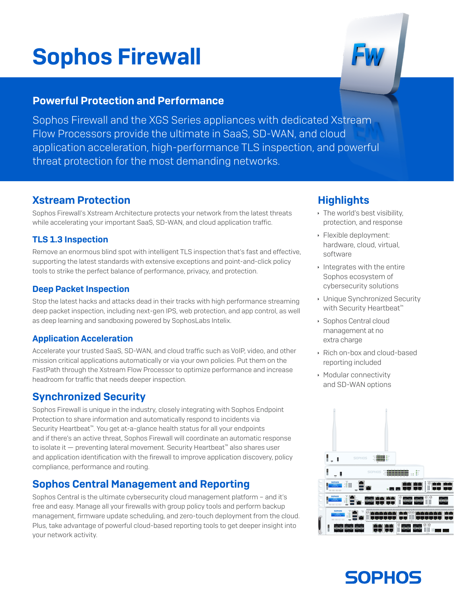# Sophos Firewall

## Powerful Protection and Performance

Sophos Firewall and the XGS Series appliances with dedicated Xstream Flow Processors provide the ultimate in SaaS, SD-WAN, and cloud application acceleration, high-performance TLS inspection, and powerful threat protection for the most demanding networks.

### Xstream Protection

Sophos Firewall's Xstream Architecture protects your network from the latest threats while accelerating your important SaaS, SD-WAN, and cloud application traffic.

#### TLS 1.3 Inspection

Remove an enormous blind spot with intelligent TLS inspection that's fast and effective, supporting the latest standards with extensive exceptions and point-and-click policy tools to strike the perfect balance of performance, privacy, and protection.

#### Deep Packet Inspection

Stop the latest hacks and attacks dead in their tracks with high performance streaming deep packet inspection, including next-gen IPS, web protection, and app control, as well as deep learning and sandboxing powered by SophosLabs Intelix.

#### Application Acceleration

Accelerate your trusted SaaS, SD-WAN, and cloud traffic such as VoIP, video, and other mission critical applications automatically or via your own policies. Put them on the FastPath through the Xstream Flow Processor to optimize performance and increase headroom for traffic that needs deeper inspection.

### Synchronized Security

Sophos Firewall is unique in the industry, closely integrating with Sophos Endpoint Protection to share information and automatically respond to incidents via Security Heartbeat™. You get at-a-glance health status for all your endpoints and if there's an active threat, Sophos Firewall will coordinate an automatic response to isolate it — preventing lateral movement. Security Heartbeat™ also shares user and application identification with the firewall to improve application discovery, policy compliance, performance and routing.

# Sophos Central Management and Reporting

Sophos Central is the ultimate cybersecurity cloud management platform – and it's free and easy. Manage all your firewalls with group policy tools and perform backup management, firmware update scheduling, and zero-touch deployment from the cloud. Plus, take advantage of powerful cloud-based reporting tools to get deeper insight into your network activity.

# **Highlights**

- $\cdot$  The world's best visibility, protection, and response
- **Flexible deployment:** hardware, cloud, virtual, software
- $\cdot$  Integrates with the entire Sophos ecosystem of cybersecurity solutions
- **I** Unique Synchronized Security with Security Heartbeat™
- **Sophos Central cloud** management at no extra charge
- **Rich on-box and cloud-based** reporting included
- **Modular connectivity** and SD-WAN options





# **SOPHOS**